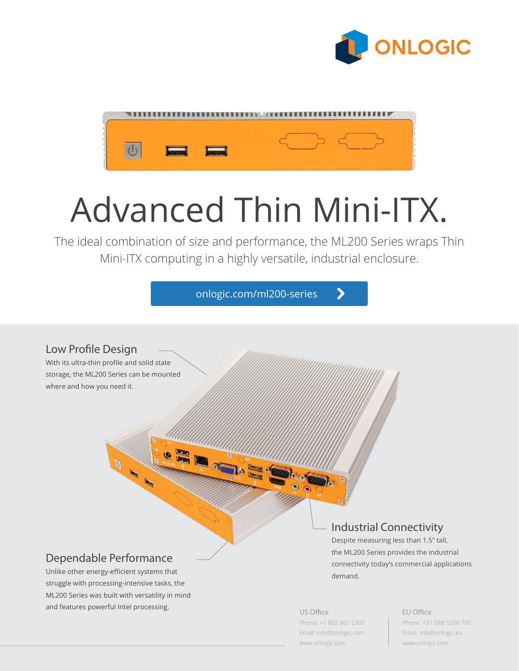



# Advanced Thin Mini-ITX.

The ideal combination of size and performance, the ML200 Series wraps Thin Mini-ITX computing in a highly versatile, industrial enclosure.

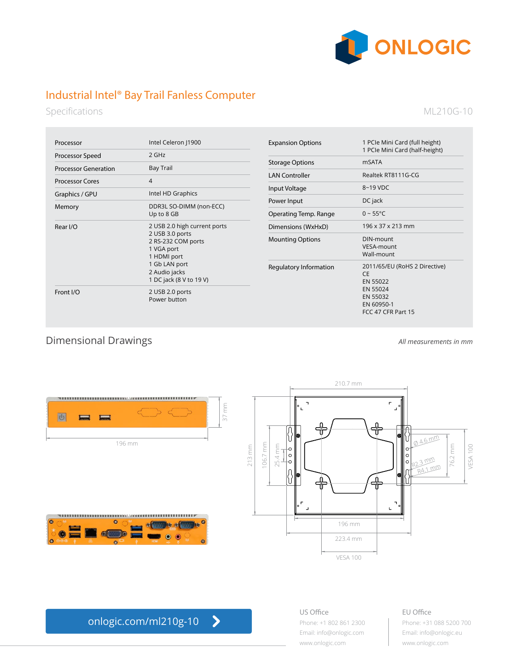

# Industrial Intel® Bay Trail Fanless Computer

Specifications

#### ML210G-10

| Processor                   | Intel Celeron (1900                                                                                                                                             |
|-----------------------------|-----------------------------------------------------------------------------------------------------------------------------------------------------------------|
| Processor Speed             | $2$ GHz                                                                                                                                                         |
| <b>Processor Generation</b> | <b>Bay Trail</b>                                                                                                                                                |
| Processor Cores             | $\overline{\mathcal{A}}$                                                                                                                                        |
| Graphics / GPU              | Intel HD Graphics                                                                                                                                               |
| Memory                      | DDR3L SO-DIMM (non-ECC)<br>Up to 8 GB                                                                                                                           |
| Rear I/O                    | 2 USB 2.0 high current ports<br>2 USB 3.0 ports<br>2 RS-232 COM ports<br>1 VGA port<br>1 HDMI port<br>1 Gb LAN port<br>2 Audio jacks<br>1 DC jack (8 V to 19 V) |
| Front $I/O$                 | 2 USB 2.0 ports<br>Power button                                                                                                                                 |

| <b>Expansion Options</b> | 1 PCIe Mini Card (full height)<br>1 PCIe Mini Card (half-height)                                                   |
|--------------------------|--------------------------------------------------------------------------------------------------------------------|
| <b>Storage Options</b>   | mSATA                                                                                                              |
| <b>LAN Controller</b>    | Realtek RT8111G-CG                                                                                                 |
| Input Voltage            | $8 - 19$ VDC                                                                                                       |
| Power Input              | DC jack                                                                                                            |
| Operating Temp. Range    | $0 - 55^{\circ}C$                                                                                                  |
| Dimensions (WxHxD)       | 196 x 37 x 213 mm                                                                                                  |
| <b>Mounting Options</b>  | DIN-mount<br>VESA-mount<br>Wall-mount                                                                              |
| Regulatory Information   | 2011/65/EU (RoHS 2 Directive)<br><b>CF</b><br>EN 55022<br>EN 55024<br>EN 55032<br>EN 60950-1<br>FCC 47 CFR Part 15 |

Dimensional Drawings

*All measurements in mm*









#### US Office Phone: +1 802 861 2300 Email: info@onlogic.com [www.onlogic.com](http://www.onlogic.com)

## EU Office Phone: +31 088 5200 700

Email: info@onlogic.eu [www.onlogic.com](http://www.onlogic.com)